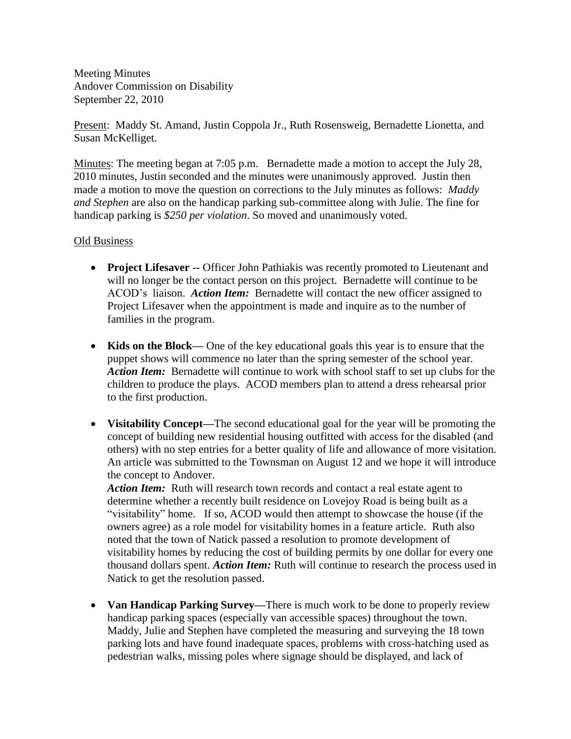Meeting Minutes Andover Commission on Disability September 22, 2010

Present: Maddy St. Amand, Justin Coppola Jr., Ruth Rosensweig, Bernadette Lionetta, and Susan McKelliget.

Minutes: The meeting began at 7:05 p.m. Bernadette made a motion to accept the July 28, 2010 minutes, Justin seconded and the minutes were unanimously approved. Justin then made a motion to move the question on corrections to the July minutes as follows: *Maddy and Stephen* are also on the handicap parking sub-committee along with Julie. The fine for handicap parking is *\$250 per violation*. So moved and unanimously voted.

## Old Business

- **Project Lifesaver --** Officer John Pathiakis was recently promoted to Lieutenant and will no longer be the contact person on this project. Bernadette will continue to be ACOD's liaison. *Action Item:* Bernadette will contact the new officer assigned to Project Lifesaver when the appointment is made and inquire as to the number of families in the program.
- Kids on the Block— One of the key educational goals this year is to ensure that the puppet shows will commence no later than the spring semester of the school year. *Action Item:* Bernadette will continue to work with school staff to set up clubs for the children to produce the plays. ACOD members plan to attend a dress rehearsal prior to the first production.
- **Visitability Concept—**The second educational goal for the year will be promoting the concept of building new residential housing outfitted with access for the disabled (and others) with no step entries for a better quality of life and allowance of more visitation. An article was submitted to the Townsman on August 12 and we hope it will introduce the concept to Andover.

*Action Item:* Ruth will research town records and contact a real estate agent to determine whether a recently built residence on Lovejoy Road is being built as a "visitability" home. If so, ACOD would then attempt to showcase the house (if the owners agree) as a role model for visitability homes in a feature article. Ruth also noted that the town of Natick passed a resolution to promote development of visitability homes by reducing the cost of building permits by one dollar for every one thousand dollars spent. *Action Item:* Ruth will continue to research the process used in Natick to get the resolution passed.

 **Van Handicap Parking Survey—**There is much work to be done to properly review handicap parking spaces (especially van accessible spaces) throughout the town. Maddy, Julie and Stephen have completed the measuring and surveying the 18 town parking lots and have found inadequate spaces, problems with cross-hatching used as pedestrian walks, missing poles where signage should be displayed, and lack of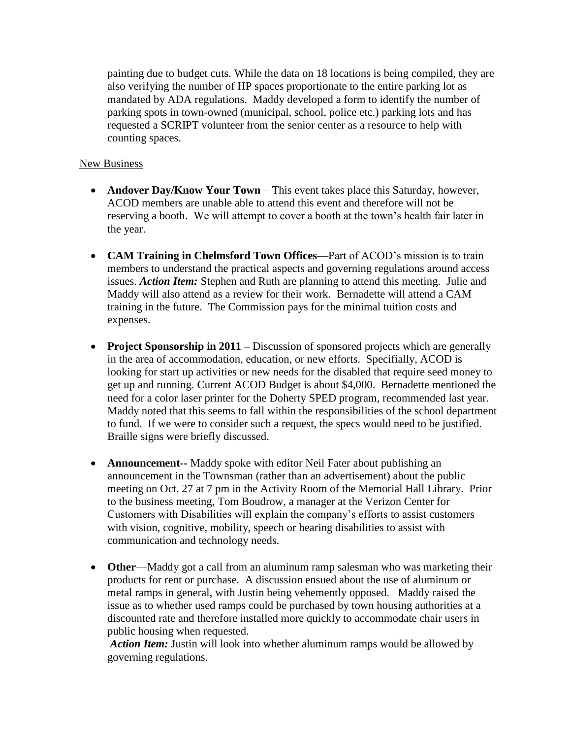painting due to budget cuts. While the data on 18 locations is being compiled, they are also verifying the number of HP spaces proportionate to the entire parking lot as mandated by ADA regulations. Maddy developed a form to identify the number of parking spots in town-owned (municipal, school, police etc.) parking lots and has requested a SCRIPT volunteer from the senior center as a resource to help with counting spaces.

## New Business

- **Andover Day/Know Your Town** This event takes place this Saturday, however, ACOD members are unable able to attend this event and therefore will not be reserving a booth. We will attempt to cover a booth at the town's health fair later in the year.
- **CAM Training in Chelmsford Town Offices**—Part of ACOD's mission is to train members to understand the practical aspects and governing regulations around access issues. *Action Item:* Stephen and Ruth are planning to attend this meeting. Julie and Maddy will also attend as a review for their work. Bernadette will attend a CAM training in the future. The Commission pays for the minimal tuition costs and expenses.
- **Project Sponsorship in 2011** Discussion of sponsored projects which are generally in the area of accommodation, education, or new efforts. Specifially, ACOD is looking for start up activities or new needs for the disabled that require seed money to get up and running. Current ACOD Budget is about \$4,000. Bernadette mentioned the need for a color laser printer for the Doherty SPED program, recommended last year. Maddy noted that this seems to fall within the responsibilities of the school department to fund. If we were to consider such a request, the specs would need to be justified. Braille signs were briefly discussed.
- **Announcement--** Maddy spoke with editor Neil Fater about publishing an announcement in the Townsman (rather than an advertisement) about the public meeting on Oct. 27 at 7 pm in the Activity Room of the Memorial Hall Library. Prior to the business meeting, Tom Boudrow, a manager at the Verizon Center for Customers with Disabilities will explain the company's efforts to assist customers with vision, cognitive, mobility, speech or hearing disabilities to assist with communication and technology needs.
- **Other**—Maddy got a call from an aluminum ramp salesman who was marketing their products for rent or purchase. A discussion ensued about the use of aluminum or metal ramps in general, with Justin being vehemently opposed. Maddy raised the issue as to whether used ramps could be purchased by town housing authorities at a discounted rate and therefore installed more quickly to accommodate chair users in public housing when requested.

*Action Item:* Justin will look into whether aluminum ramps would be allowed by governing regulations.